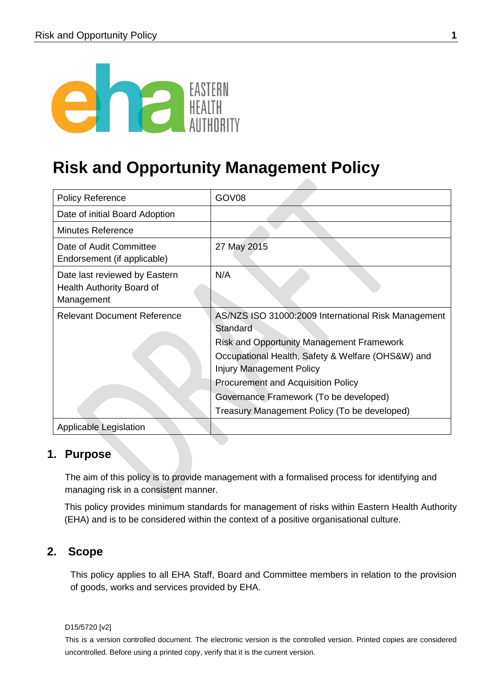

# **Risk and Opportunity Management Policy**

| <b>Policy Reference</b>                                                  | GOV08                                                                                                                                                                                                                                                                                              |
|--------------------------------------------------------------------------|----------------------------------------------------------------------------------------------------------------------------------------------------------------------------------------------------------------------------------------------------------------------------------------------------|
| Date of initial Board Adoption                                           |                                                                                                                                                                                                                                                                                                    |
| <b>Minutes Reference</b>                                                 |                                                                                                                                                                                                                                                                                                    |
| Date of Audit Committee<br>Endorsement (if applicable)                   | 27 May 2015                                                                                                                                                                                                                                                                                        |
| Date last reviewed by Eastern<br>Health Authority Board of<br>Management | N/A                                                                                                                                                                                                                                                                                                |
| <b>Relevant Document Reference</b>                                       | AS/NZS ISO 31000:2009 International Risk Management<br>Standard<br><b>Risk and Opportunity Management Framework</b><br>Occupational Health, Safety & Welfare (OHS&W) and<br><b>Injury Management Policy</b><br><b>Procurement and Acquisition Policy</b><br>Governance Framework (To be developed) |
|                                                                          | Treasury Management Policy (To be developed)                                                                                                                                                                                                                                                       |
| <b>Applicable Legislation</b>                                            |                                                                                                                                                                                                                                                                                                    |

## **1. Purpose**

The aim of this policy is to provide management with a formalised process for identifying and managing risk in a consistent manner.

This policy provides minimum standards for management of risks within Eastern Health Authority (EHA) and is to be considered within the context of a positive organisational culture.

## **2. Scope**

This policy applies to all EHA Staff, Board and Committee members in relation to the provision of goods, works and services provided by EHA.

D15/5720 [v2]

This is a version controlled document. The electronic version is the controlled version. Printed copies are considered uncontrolled. Before using a printed copy, verify that it is the current version.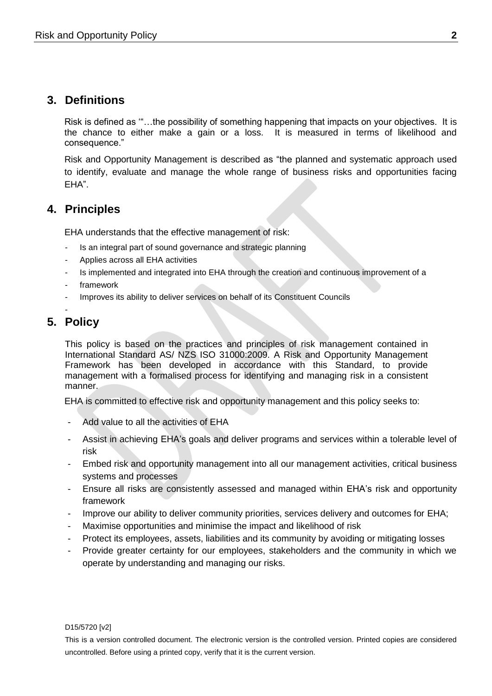# **3. Definitions**

Risk is defined as '"…the possibility of something happening that impacts on your objectives. It is the chance to either make a gain or a loss. It is measured in terms of likelihood and consequence."

Risk and Opportunity Management is described as "the planned and systematic approach used to identify, evaluate and manage the whole range of business risks and opportunities facing EHA".

# **4. Principles**

EHA understands that the effective management of risk:

- Is an integral part of sound governance and strategic planning
- Applies across all EHA activities
- Is implemented and integrated into EHA through the creation and continuous improvement of a
- framework
- Improves its ability to deliver services on behalf of its Constituent Councils
- -

# **5. Policy**

This policy is based on the practices and principles of risk management contained in International Standard AS/ NZS ISO 31000:2009. A Risk and Opportunity Management Framework has been developed in accordance with this Standard, to provide management with a formalised process for identifying and managing risk in a consistent manner.

EHA is committed to effective risk and opportunity management and this policy seeks to:

- Add value to all the activities of EHA
- Assist in achieving EHA's goals and deliver programs and services within a tolerable level of risk
- Embed risk and opportunity management into all our management activities, critical business systems and processes
- Ensure all risks are consistently assessed and managed within EHA's risk and opportunity framework
- Improve our ability to deliver community priorities, services delivery and outcomes for EHA;
- Maximise opportunities and minimise the impact and likelihood of risk
- Protect its employees, assets, liabilities and its community by avoiding or mitigating losses
- Provide greater certainty for our employees, stakeholders and the community in which we operate by understanding and managing our risks.

#### D15/5720 [v2]

This is a version controlled document. The electronic version is the controlled version. Printed copies are considered uncontrolled. Before using a printed copy, verify that it is the current version.